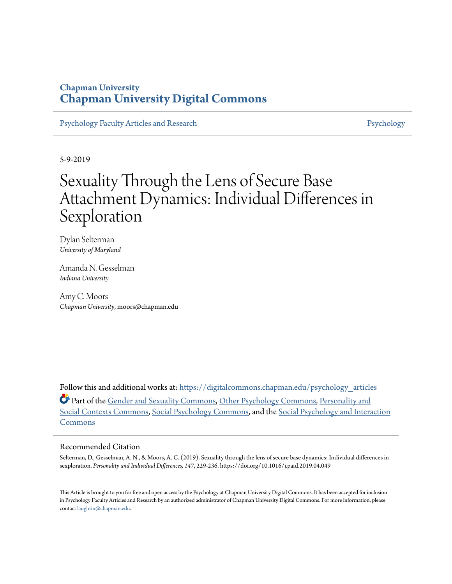### **Chapman University [Chapman University Digital Commons](https://digitalcommons.chapman.edu?utm_source=digitalcommons.chapman.edu%2Fpsychology_articles%2F180&utm_medium=PDF&utm_campaign=PDFCoverPages)**

[Psychology Faculty Articles and Research](https://digitalcommons.chapman.edu/psychology_articles?utm_source=digitalcommons.chapman.edu%2Fpsychology_articles%2F180&utm_medium=PDF&utm_campaign=PDFCoverPages) **[Psychology](https://digitalcommons.chapman.edu/psychology?utm_source=digitalcommons.chapman.edu%2Fpsychology_articles%2F180&utm_medium=PDF&utm_campaign=PDFCoverPages)** 

5-9-2019

# Sexuality Through the Lens of Secure Base Attachment Dynamics: Individual Differences in **Sexploration**

Dylan Selterman *University of Maryland*

Amanda N. Gesselman *Indiana University*

Amy C. Moors *Chapman University*, moors@chapman.edu

Follow this and additional works at: [https://digitalcommons.chapman.edu/psychology\\_articles](https://digitalcommons.chapman.edu/psychology_articles?utm_source=digitalcommons.chapman.edu%2Fpsychology_articles%2F180&utm_medium=PDF&utm_campaign=PDFCoverPages) Part of the [Gender and Sexuality Commons](http://network.bepress.com/hgg/discipline/420?utm_source=digitalcommons.chapman.edu%2Fpsychology_articles%2F180&utm_medium=PDF&utm_campaign=PDFCoverPages), [Other Psychology Commons](http://network.bepress.com/hgg/discipline/415?utm_source=digitalcommons.chapman.edu%2Fpsychology_articles%2F180&utm_medium=PDF&utm_campaign=PDFCoverPages), [Personality and](http://network.bepress.com/hgg/discipline/413?utm_source=digitalcommons.chapman.edu%2Fpsychology_articles%2F180&utm_medium=PDF&utm_campaign=PDFCoverPages) [Social Contexts Commons](http://network.bepress.com/hgg/discipline/413?utm_source=digitalcommons.chapman.edu%2Fpsychology_articles%2F180&utm_medium=PDF&utm_campaign=PDFCoverPages), [Social Psychology Commons,](http://network.bepress.com/hgg/discipline/414?utm_source=digitalcommons.chapman.edu%2Fpsychology_articles%2F180&utm_medium=PDF&utm_campaign=PDFCoverPages) and the [Social Psychology and Interaction](http://network.bepress.com/hgg/discipline/430?utm_source=digitalcommons.chapman.edu%2Fpsychology_articles%2F180&utm_medium=PDF&utm_campaign=PDFCoverPages) [Commons](http://network.bepress.com/hgg/discipline/430?utm_source=digitalcommons.chapman.edu%2Fpsychology_articles%2F180&utm_medium=PDF&utm_campaign=PDFCoverPages)

#### Recommended Citation

Selterman, D., Gesselman, A. N., & Moors, A. C. (2019). Sexuality through the lens of secure base dynamics: Individual differences in sexploration. *Personality and Individual Differences, 147*, 229-236. https://doi.org/10.1016/j.paid.2019.04.049

This Article is brought to you for free and open access by the Psychology at Chapman University Digital Commons. It has been accepted for inclusion in Psychology Faculty Articles and Research by an authorized administrator of Chapman University Digital Commons. For more information, please contact [laughtin@chapman.edu](mailto:laughtin@chapman.edu).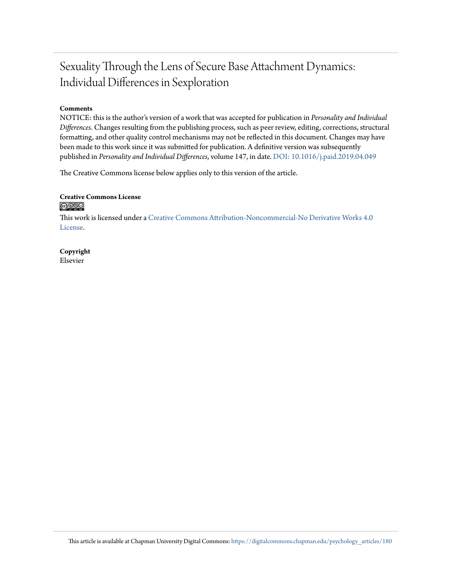## Sexuality Through the Lens of Secure Base Attachment Dynamics: Individual Differences in Sexploration

#### **Comments**

NOTICE: this is the author's version of a work that was accepted for publication in *Personality and Individual Differences*. Changes resulting from the publishing process, such as peer review, editing, corrections, structural formatting, and other quality control mechanisms may not be reflected in this document. Changes may have been made to this work since it was submitted for publication. A definitive version was subsequently published in *Personality and Individual Differences*, volume 147, in date. [DOI: 10.1016/j.paid.2019.04.049](https://doi.org/10.1016/j.paid.2019.04.049)

The Creative Commons license below applies only to this version of the article.

#### **Creative Commons License**  $\bigcirc$   $\circ$

This work is licensed under a [Creative Commons Attribution-Noncommercial-No Derivative Works 4.0](https://creativecommons.org/licenses/by-nc-nd/4.0/) [License.](https://creativecommons.org/licenses/by-nc-nd/4.0/)

**Copyright** Elsevier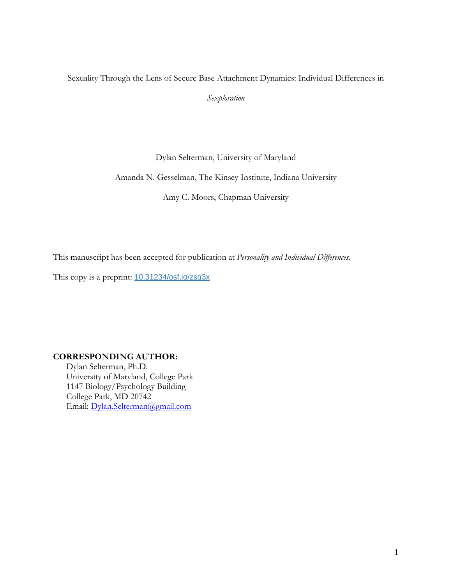#### Sexuality Through the Lens of Secure Base Attachment Dynamics: Individual Differences in

*Sexploration*

Dylan Selterman, University of Maryland

Amanda N. Gesselman, The Kinsey Institute, Indiana University

Amy C. Moors, Chapman University

This manuscript has been accepted for publication at *Personality and Individual Differences*.

This copy is a preprint: [10.31234/osf.io/zsg3x](https://doi.org/10.31234/osf.io/zsg3x)

#### **CORRESPONDING AUTHOR:**

Dylan Selterman, Ph.D. University of Maryland, College Park 1147 Biology/Psychology Building College Park, MD 20742 Email: [Dylan.Selterman@gmail.com](mailto:Dylan.Selterman@gmail.com)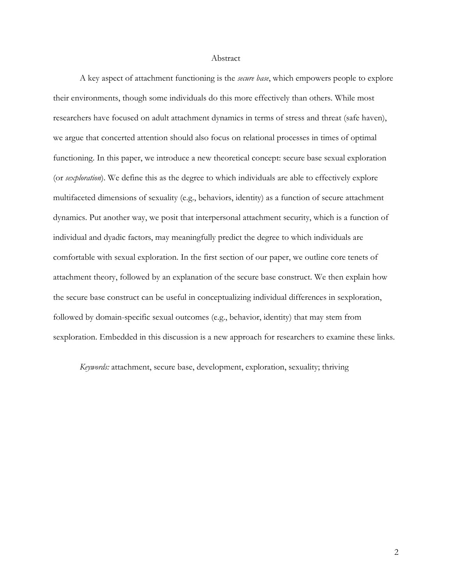#### Abstract

A key aspect of attachment functioning is the *secure base*, which empowers people to explore their environments, though some individuals do this more effectively than others. While most researchers have focused on adult attachment dynamics in terms of stress and threat (safe haven), we argue that concerted attention should also focus on relational processes in times of optimal functioning. In this paper, we introduce a new theoretical concept: secure base sexual exploration (or *sexploration*). We define this as the degree to which individuals are able to effectively explore multifaceted dimensions of sexuality (e.g., behaviors, identity) as a function of secure attachment dynamics. Put another way, we posit that interpersonal attachment security, which is a function of individual and dyadic factors, may meaningfully predict the degree to which individuals are comfortable with sexual exploration. In the first section of our paper, we outline core tenets of attachment theory, followed by an explanation of the secure base construct. We then explain how the secure base construct can be useful in conceptualizing individual differences in sexploration, followed by domain-specific sexual outcomes (e.g., behavior, identity) that may stem from sexploration. Embedded in this discussion is a new approach for researchers to examine these links.

*Keywords:* attachment, secure base, development, exploration, sexuality; thriving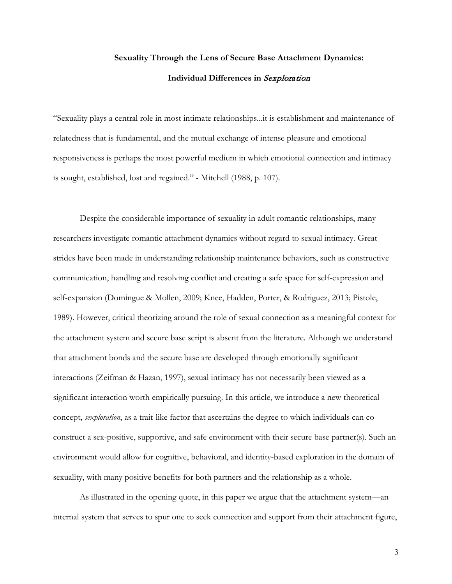### **Sexuality Through the Lens of Secure Base Attachment Dynamics: Individual Differences in** Sexploration

"Sexuality plays a central role in most intimate relationships...it is establishment and maintenance of relatedness that is fundamental, and the mutual exchange of intense pleasure and emotional responsiveness is perhaps the most powerful medium in which emotional connection and intimacy is sought, established, lost and regained." - Mitchell (1988, p. 107).

Despite the considerable importance of sexuality in adult romantic relationships, many researchers investigate romantic attachment dynamics without regard to sexual intimacy. Great strides have been made in understanding relationship maintenance behaviors, such as constructive communication, handling and resolving conflict and creating a safe space for self-expression and self-expansion (Domingue & Mollen, 2009; Knee, Hadden, Porter, & Rodriguez, 2013; Pistole, 1989). However, critical theorizing around the role of sexual connection as a meaningful context for the attachment system and secure base script is absent from the literature. Although we understand that attachment bonds and the secure base are developed through emotionally significant interactions (Zeifman & Hazan, 1997), sexual intimacy has not necessarily been viewed as a significant interaction worth empirically pursuing. In this article, we introduce a new theoretical concept, *sexploration*, as a trait-like factor that ascertains the degree to which individuals can coconstruct a sex-positive, supportive, and safe environment with their secure base partner(s). Such an environment would allow for cognitive, behavioral, and identity-based exploration in the domain of sexuality, with many positive benefits for both partners and the relationship as a whole.

As illustrated in the opening quote, in this paper we argue that the attachment system—an internal system that serves to spur one to seek connection and support from their attachment figure,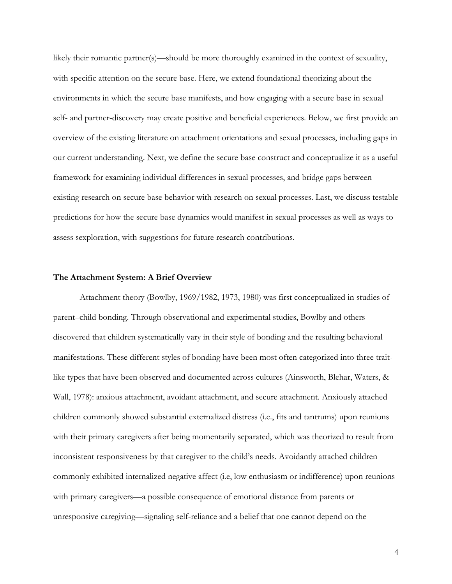likely their romantic partner(s)—should be more thoroughly examined in the context of sexuality, with specific attention on the secure base. Here, we extend foundational theorizing about the environments in which the secure base manifests, and how engaging with a secure base in sexual self- and partner-discovery may create positive and beneficial experiences. Below, we first provide an overview of the existing literature on attachment orientations and sexual processes, including gaps in our current understanding. Next, we define the secure base construct and conceptualize it as a useful framework for examining individual differences in sexual processes, and bridge gaps between existing research on secure base behavior with research on sexual processes. Last, we discuss testable predictions for how the secure base dynamics would manifest in sexual processes as well as ways to assess sexploration, with suggestions for future research contributions.

#### **The Attachment System: A Brief Overview**

Attachment theory (Bowlby, 1969/1982, 1973, 1980) was first conceptualized in studies of parent–child bonding. Through observational and experimental studies, Bowlby and others discovered that children systematically vary in their style of bonding and the resulting behavioral manifestations. These different styles of bonding have been most often categorized into three traitlike types that have been observed and documented across cultures (Ainsworth, Blehar, Waters, & Wall, 1978): anxious attachment, avoidant attachment, and secure attachment. Anxiously attached children commonly showed substantial externalized distress (i.e., fits and tantrums) upon reunions with their primary caregivers after being momentarily separated, which was theorized to result from inconsistent responsiveness by that caregiver to the child's needs. Avoidantly attached children commonly exhibited internalized negative affect (i.e, low enthusiasm or indifference) upon reunions with primary caregivers—a possible consequence of emotional distance from parents or unresponsive caregiving—signaling self-reliance and a belief that one cannot depend on the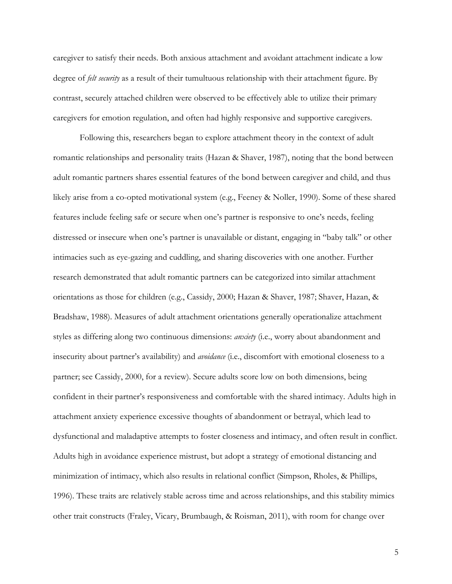caregiver to satisfy their needs. Both anxious attachment and avoidant attachment indicate a low degree of *felt security* as a result of their tumultuous relationship with their attachment figure. By contrast, securely attached children were observed to be effectively able to utilize their primary caregivers for emotion regulation, and often had highly responsive and supportive caregivers.

Following this, researchers began to explore attachment theory in the context of adult romantic relationships and personality traits (Hazan & Shaver, 1987), noting that the bond between adult romantic partners shares essential features of the bond between caregiver and child, and thus likely arise from a co-opted motivational system (e.g., Feeney & Noller, 1990). Some of these shared features include feeling safe or secure when one's partner is responsive to one's needs, feeling distressed or insecure when one's partner is unavailable or distant, engaging in "baby talk" or other intimacies such as eye-gazing and cuddling, and sharing discoveries with one another. Further research demonstrated that adult romantic partners can be categorized into similar attachment orientations as those for children (e.g., Cassidy, 2000; Hazan & Shaver, 1987; Shaver, Hazan, & Bradshaw, 1988). Measures of adult attachment orientations generally operationalize attachment styles as differing along two continuous dimensions: *anxiety* (i.e., worry about abandonment and insecurity about partner's availability) and *avoidance* (i.e., discomfort with emotional closeness to a partner; see Cassidy, 2000, for a review). Secure adults score low on both dimensions, being confident in their partner's responsiveness and comfortable with the shared intimacy. Adults high in attachment anxiety experience excessive thoughts of abandonment or betrayal, which lead to dysfunctional and maladaptive attempts to foster closeness and intimacy, and often result in conflict. Adults high in avoidance experience mistrust, but adopt a strategy of emotional distancing and minimization of intimacy, which also results in relational conflict (Simpson, Rholes, & Phillips, 1996). These traits are relatively stable across time and across relationships, and this stability mimics other trait constructs (Fraley, Vicary, Brumbaugh, & Roisman, 2011), with room for change over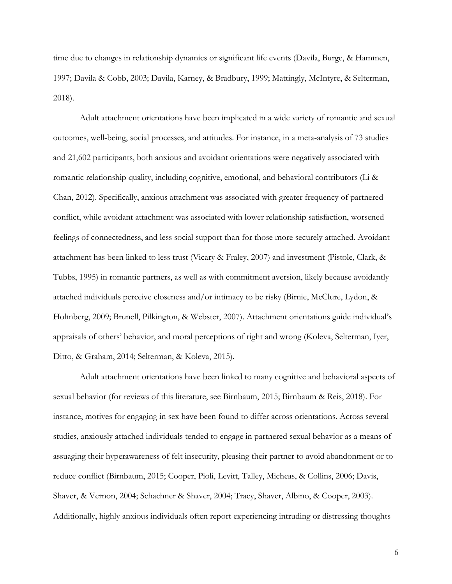time due to changes in relationship dynamics or significant life events (Davila, Burge, & Hammen, 1997; Davila & Cobb, 2003; Davila, Karney, & Bradbury, 1999; Mattingly, McIntyre, & Selterman, 2018).

Adult attachment orientations have been implicated in a wide variety of romantic and sexual outcomes, well-being, social processes, and attitudes. For instance, in a meta-analysis of 73 studies and 21,602 participants, both anxious and avoidant orientations were negatively associated with romantic relationship quality, including cognitive, emotional, and behavioral contributors (Li & Chan, 2012). Specifically, anxious attachment was associated with greater frequency of partnered conflict, while avoidant attachment was associated with lower relationship satisfaction, worsened feelings of connectedness, and less social support than for those more securely attached. Avoidant attachment has been linked to less trust (Vicary & Fraley, 2007) and investment (Pistole, Clark, & Tubbs, 1995) in romantic partners, as well as with commitment aversion, likely because avoidantly attached individuals perceive closeness and/or intimacy to be risky (Birnie, McClure, Lydon, & Holmberg, 2009; Brunell, Pilkington, & Webster, 2007). Attachment orientations guide individual's appraisals of others' behavior, and moral perceptions of right and wrong (Koleva, Selterman, Iyer, Ditto, & Graham, 2014; Selterman, & Koleva, 2015).

Adult attachment orientations have been linked to many cognitive and behavioral aspects of sexual behavior (for reviews of this literature, see Birnbaum, 2015; Birnbaum & Reis, 2018). For instance, motives for engaging in sex have been found to differ across orientations. Across several studies, anxiously attached individuals tended to engage in partnered sexual behavior as a means of assuaging their hyperawareness of felt insecurity, pleasing their partner to avoid abandonment or to reduce conflict (Birnbaum, 2015; Cooper, Pioli, Levitt, Talley, Micheas, & Collins, 2006; Davis, Shaver, & Vernon, 2004; Schachner & Shaver, 2004; Tracy, Shaver, Albino, & Cooper, 2003). Additionally, highly anxious individuals often report experiencing intruding or distressing thoughts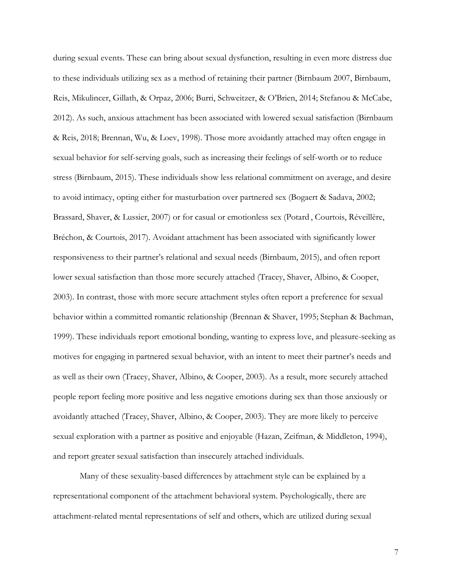during sexual events. These can bring about sexual dysfunction, resulting in even more distress due to these individuals utilizing sex as a method of retaining their partner (Birnbaum 2007, Birnbaum, Reis, Mikulincer, Gillath, & Orpaz, 2006; Burri, Schweitzer, & O'Brien, 2014; Stefanou & McCabe, 2012). As such, anxious attachment has been associated with lowered sexual satisfaction (Birnbaum & Reis, 2018; Brennan, Wu, & Loev, 1998). Those more avoidantly attached may often engage in sexual behavior for self-serving goals, such as increasing their feelings of self-worth or to reduce stress (Birnbaum, 2015). These individuals show less relational commitment on average, and desire to avoid intimacy, opting either for masturbation over partnered sex (Bogaert & Sadava, 2002; Brassard, Shaver, & Lussier, 2007) or for casual or emotionless sex (Potard , Courtois, Réveillère, Bréchon, & Courtois, 2017). Avoidant attachment has been associated with significantly lower responsiveness to their partner's relational and sexual needs (Birnbaum, 2015), and often report lower sexual satisfaction than those more securely attached (Tracey, Shaver, Albino, & Cooper, 2003). In contrast, those with more secure attachment styles often report a preference for sexual behavior within a committed romantic relationship (Brennan & Shaver, 1995; Stephan & Bachman, 1999). These individuals report emotional bonding, wanting to express love, and pleasure-seeking as motives for engaging in partnered sexual behavior, with an intent to meet their partner's needs and as well as their own (Tracey, Shaver, Albino, & Cooper, 2003). As a result, more securely attached people report feeling more positive and less negative emotions during sex than those anxiously or avoidantly attached (Tracey, Shaver, Albino, & Cooper, 2003). They are more likely to perceive sexual exploration with a partner as positive and enjoyable (Hazan, Zeifman, & Middleton, 1994), and report greater sexual satisfaction than insecurely attached individuals.

Many of these sexuality-based differences by attachment style can be explained by a representational component of the attachment behavioral system. Psychologically, there are attachment-related mental representations of self and others, which are utilized during sexual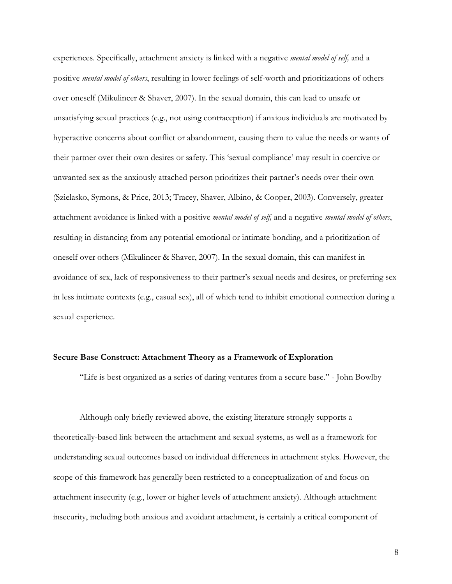experiences. Specifically, attachment anxiety is linked with a negative *mental model of self,* and a positive *mental model of others*, resulting in lower feelings of self-worth and prioritizations of others over oneself (Mikulincer & Shaver, 2007). In the sexual domain, this can lead to unsafe or unsatisfying sexual practices (e.g., not using contraception) if anxious individuals are motivated by hyperactive concerns about conflict or abandonment, causing them to value the needs or wants of their partner over their own desires or safety. This 'sexual compliance' may result in coercive or unwanted sex as the anxiously attached person prioritizes their partner's needs over their own (Szielasko, Symons, & Price, 2013; Tracey, Shaver, Albino, & Cooper, 2003). Conversely, greater attachment avoidance is linked with a positive *mental model of self,* and a negative *mental model of others*, resulting in distancing from any potential emotional or intimate bonding, and a prioritization of oneself over others (Mikulincer & Shaver, 2007). In the sexual domain, this can manifest in avoidance of sex, lack of responsiveness to their partner's sexual needs and desires, or preferring sex in less intimate contexts (e.g., casual sex), all of which tend to inhibit emotional connection during a sexual experience.

#### **Secure Base Construct: Attachment Theory as a Framework of Exploration**

"Life is best organized as a series of daring ventures from a secure base." - John Bowlby

Although only briefly reviewed above, the existing literature strongly supports a theoretically-based link between the attachment and sexual systems, as well as a framework for understanding sexual outcomes based on individual differences in attachment styles. However, the scope of this framework has generally been restricted to a conceptualization of and focus on attachment insecurity (e.g., lower or higher levels of attachment anxiety). Although attachment insecurity, including both anxious and avoidant attachment, is certainly a critical component of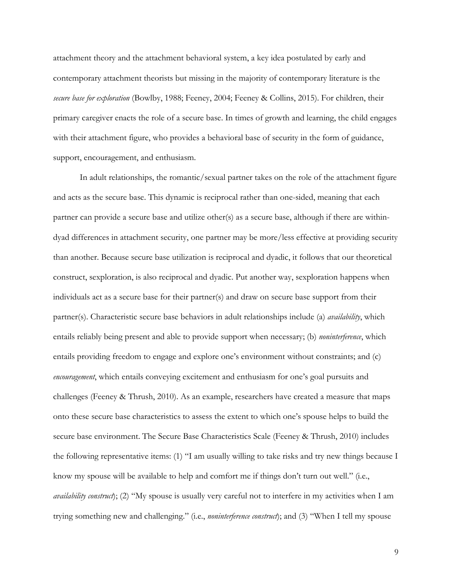attachment theory and the attachment behavioral system, a key idea postulated by early and contemporary attachment theorists but missing in the majority of contemporary literature is the *secure base for exploration* (Bowlby, 1988; Feeney, 2004; Feeney & Collins, 2015). For children, their primary caregiver enacts the role of a secure base. In times of growth and learning, the child engages with their attachment figure, who provides a behavioral base of security in the form of guidance, support, encouragement, and enthusiasm.

In adult relationships, the romantic/sexual partner takes on the role of the attachment figure and acts as the secure base. This dynamic is reciprocal rather than one-sided, meaning that each partner can provide a secure base and utilize other(s) as a secure base, although if there are withindyad differences in attachment security, one partner may be more/less effective at providing security than another. Because secure base utilization is reciprocal and dyadic, it follows that our theoretical construct, sexploration, is also reciprocal and dyadic. Put another way, sexploration happens when individuals act as a secure base for their partner(s) and draw on secure base support from their partner(s). Characteristic secure base behaviors in adult relationships include (a) *availability*, which entails reliably being present and able to provide support when necessary; (b) *noninterference*, which entails providing freedom to engage and explore one's environment without constraints; and (c) *encouragement*, which entails conveying excitement and enthusiasm for one's goal pursuits and challenges (Feeney & Thrush, 2010). As an example, researchers have created a measure that maps onto these secure base characteristics to assess the extent to which one's spouse helps to build the secure base environment. The Secure Base Characteristics Scale (Feeney & Thrush, 2010) includes the following representative items: (1) "I am usually willing to take risks and try new things because I know my spouse will be available to help and comfort me if things don't turn out well." (i.e., *availability construct*); (2) "My spouse is usually very careful not to interfere in my activities when I am trying something new and challenging." (i.e., *noninterference construct*); and (3) "When I tell my spouse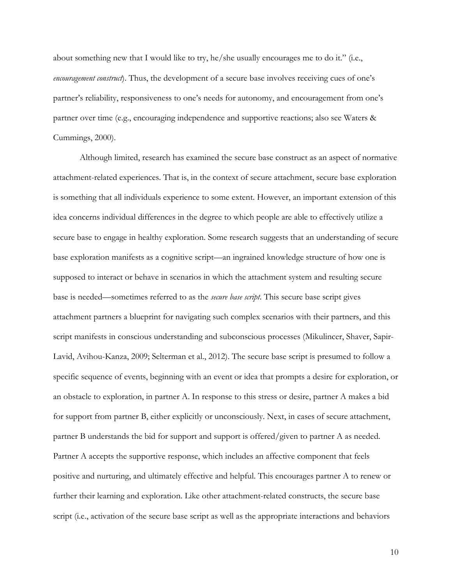about something new that I would like to try, he/she usually encourages me to do it." (i.e., *encouragement construct*). Thus, the development of a secure base involves receiving cues of one's partner's reliability, responsiveness to one's needs for autonomy, and encouragement from one's partner over time (e.g., encouraging independence and supportive reactions; also see Waters & Cummings, 2000).

Although limited, research has examined the secure base construct as an aspect of normative attachment-related experiences. That is, in the context of secure attachment, secure base exploration is something that all individuals experience to some extent. However, an important extension of this idea concerns individual differences in the degree to which people are able to effectively utilize a secure base to engage in healthy exploration. Some research suggests that an understanding of secure base exploration manifests as a cognitive script—an ingrained knowledge structure of how one is supposed to interact or behave in scenarios in which the attachment system and resulting secure base is needed—sometimes referred to as the *secure base script*. This secure base script gives attachment partners a blueprint for navigating such complex scenarios with their partners, and this script manifests in conscious understanding and subconscious processes (Mikulincer, Shaver, Sapir-Lavid, Avihou-Kanza, 2009; Selterman et al., 2012). The secure base script is presumed to follow a specific sequence of events, beginning with an event or idea that prompts a desire for exploration, or an obstacle to exploration, in partner A. In response to this stress or desire, partner A makes a bid for support from partner B, either explicitly or unconsciously. Next, in cases of secure attachment, partner B understands the bid for support and support is offered/given to partner A as needed. Partner A accepts the supportive response, which includes an affective component that feels positive and nurturing, and ultimately effective and helpful. This encourages partner A to renew or further their learning and exploration. Like other attachment-related constructs, the secure base script (i.e., activation of the secure base script as well as the appropriate interactions and behaviors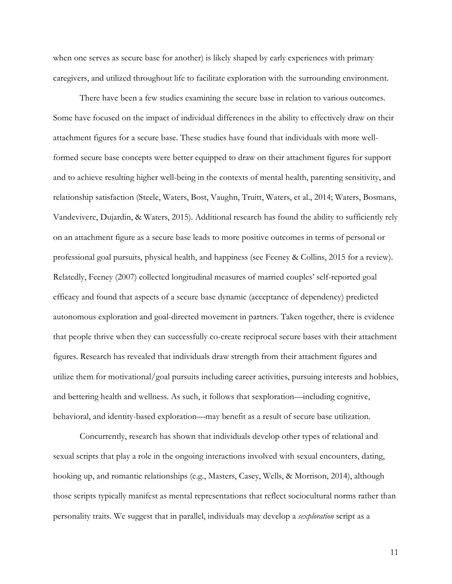when one serves as secure base for another) is likely shaped by early experiences with primary caregivers, and utilized throughout life to facilitate exploration with the surrounding environment.

There have been a few studies examining the secure base in relation to various outcomes. Some have focused on the impact of individual differences in the ability to effectively draw on their attachment figures for a secure base. These studies have found that individuals with more wellformed secure base concepts were better equipped to draw on their attachment figures for support and to achieve resulting higher well-being in the contexts of mental health, parenting sensitivity, and relationship satisfaction (Steele, Waters, Bost, Vaughn, Truitt, Waters, et al., 2014; Waters, Bosmans, Vandevivere, Dujardin, & Waters, 2015). Additional research has found the ability to sufficiently rely on an attachment figure as a secure base leads to more positive outcomes in terms of personal or professional goal pursuits, physical health, and happiness (see Feeney & Collins, 2015 for a review). Relatedly, Feeney (2007) collected longitudinal measures of married couples' self-reported goal efficacy and found that aspects of a secure base dynamic (acceptance of dependency) predicted autonomous exploration and goal-directed movement in partners. Taken together, there is evidence that people thrive when they can successfully co-create reciprocal secure bases with their attachment figures. Research has revealed that individuals draw strength from their attachment figures and utilize them for motivational/goal pursuits including career activities, pursuing interests and hobbies, and bettering health and wellness. As such, it follows that sexploration—including cognitive, behavioral, and identity-based exploration—may benefit as a result of secure base utilization.

Concurrently, research has shown that individuals develop other types of relational and sexual scripts that play a role in the ongoing interactions involved with sexual encounters, dating, hooking up, and romantic relationships (e.g., Masters, Casey, Wells, & Morrison, 2014), although those scripts typically manifest as mental representations that reflect sociocultural norms rather than personality traits. We suggest that in parallel, individuals may develop a *sexploration* script as a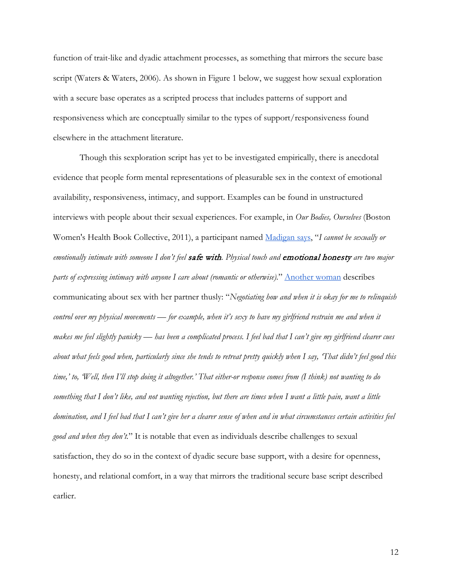function of trait-like and dyadic attachment processes, as something that mirrors the secure base script (Waters & Waters, 2006). As shown in Figure 1 below, we suggest how sexual exploration with a secure base operates as a scripted process that includes patterns of support and responsiveness which are conceptually similar to the types of support/responsiveness found elsewhere in the attachment literature.

Though this sexploration script has yet to be investigated empirically, there is anecdotal evidence that people form mental representations of pleasurable sex in the context of emotional availability, responsiveness, intimacy, and support. Examples can be found in unstructured interviews with people about their sexual experiences. For example, in *Our Bodies, Ourselves* (Boston Women's Health Book Collective, 2011), a participant named [Madigan says,](https://www.ourbodiesourselves.org/book-excerpts/health-article/defining-and-expressing-intimacy/) "*I cannot be sexually or emotionally intimate with someone I don't feel* safe with*. Physical touch and* emotional honesty *are two major parts of expressing intimacy with anyone I care about (romantic or otherwise).*" [Another woman](https://www.ourbodiesourselves.org/book-excerpts/health-article/talking-about-sex/) describes communicating about sex with her partner thusly: "*Negotiating how and when it is okay for me to relinquish control over my physical movements — for example, when it's sexy to have my girlfriend restrain me and when it makes me feel slightly panicky — has been a complicated process. I feel bad that I can't give my girlfriend clearer cues about what feels good when, particularly since she tends to retreat pretty quickly when I say, 'That didn't feel good this time,' to, 'Well, then I'll stop doing it altogether.' That either-or response comes from (I think) not wanting to do something that I don't like, and not wanting rejection, but there are times when I want a little pain, want a little domination, and I feel bad that I can't give her a clearer sense of when and in what circumstances certain activities feel good and when they don't.*" It is notable that even as individuals describe challenges to sexual satisfaction, they do so in the context of dyadic secure base support, with a desire for openness, honesty, and relational comfort, in a way that mirrors the traditional secure base script described earlier.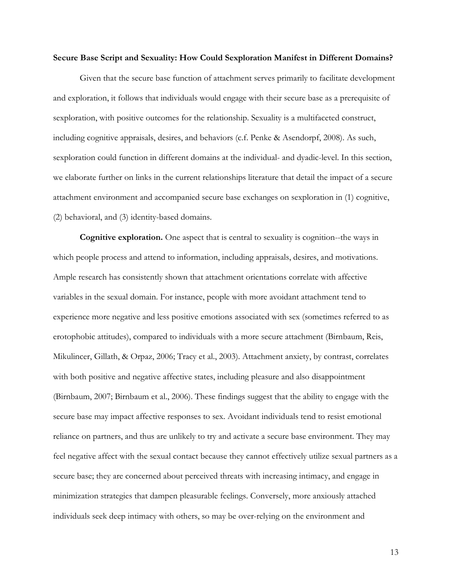#### **Secure Base Script and Sexuality: How Could Sexploration Manifest in Different Domains?**

Given that the secure base function of attachment serves primarily to facilitate development and exploration, it follows that individuals would engage with their secure base as a prerequisite of sexploration, with positive outcomes for the relationship. Sexuality is a multifaceted construct, including cognitive appraisals, desires, and behaviors (c.f. Penke & Asendorpf, 2008). As such, sexploration could function in different domains at the individual- and dyadic-level. In this section, we elaborate further on links in the current relationships literature that detail the impact of a secure attachment environment and accompanied secure base exchanges on sexploration in (1) cognitive, (2) behavioral, and (3) identity-based domains.

**Cognitive exploration.** One aspect that is central to sexuality is cognition--the ways in which people process and attend to information, including appraisals, desires, and motivations. Ample research has consistently shown that attachment orientations correlate with affective variables in the sexual domain. For instance, people with more avoidant attachment tend to experience more negative and less positive emotions associated with sex (sometimes referred to as erotophobic attitudes), compared to individuals with a more secure attachment (Birnbaum, Reis, Mikulincer, Gillath, & Orpaz, 2006; Tracy et al., 2003). Attachment anxiety, by contrast, correlates with both positive and negative affective states, including pleasure and also disappointment (Birnbaum, 2007; Birnbaum et al., 2006). These findings suggest that the ability to engage with the secure base may impact affective responses to sex. Avoidant individuals tend to resist emotional reliance on partners, and thus are unlikely to try and activate a secure base environment. They may feel negative affect with the sexual contact because they cannot effectively utilize sexual partners as a secure base; they are concerned about perceived threats with increasing intimacy, and engage in minimization strategies that dampen pleasurable feelings. Conversely, more anxiously attached individuals seek deep intimacy with others, so may be over-relying on the environment and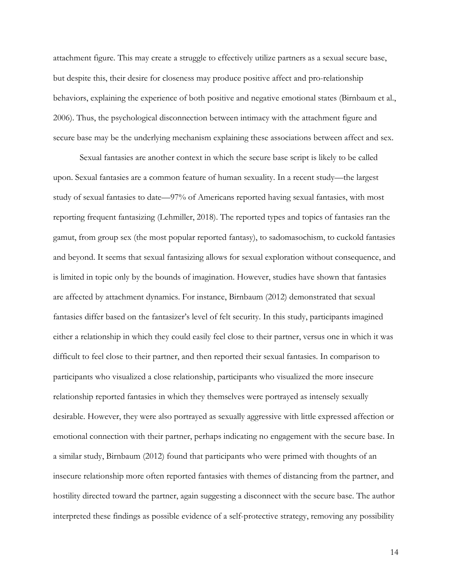attachment figure. This may create a struggle to effectively utilize partners as a sexual secure base, but despite this, their desire for closeness may produce positive affect and pro-relationship behaviors, explaining the experience of both positive and negative emotional states (Birnbaum et al., 2006). Thus, the psychological disconnection between intimacy with the attachment figure and secure base may be the underlying mechanism explaining these associations between affect and sex.

Sexual fantasies are another context in which the secure base script is likely to be called upon. Sexual fantasies are a common feature of human sexuality. In a recent study—the largest study of sexual fantasies to date—97% of Americans reported having sexual fantasies, with most reporting frequent fantasizing (Lehmiller, 2018). The reported types and topics of fantasies ran the gamut, from group sex (the most popular reported fantasy), to sadomasochism, to cuckold fantasies and beyond. It seems that sexual fantasizing allows for sexual exploration without consequence, and is limited in topic only by the bounds of imagination. However, studies have shown that fantasies are affected by attachment dynamics. For instance, Birnbaum (2012) demonstrated that sexual fantasies differ based on the fantasizer's level of felt security. In this study, participants imagined either a relationship in which they could easily feel close to their partner, versus one in which it was difficult to feel close to their partner, and then reported their sexual fantasies. In comparison to participants who visualized a close relationship, participants who visualized the more insecure relationship reported fantasies in which they themselves were portrayed as intensely sexually desirable. However, they were also portrayed as sexually aggressive with little expressed affection or emotional connection with their partner, perhaps indicating no engagement with the secure base. In a similar study, Birnbaum (2012) found that participants who were primed with thoughts of an insecure relationship more often reported fantasies with themes of distancing from the partner, and hostility directed toward the partner, again suggesting a disconnect with the secure base. The author interpreted these findings as possible evidence of a self-protective strategy, removing any possibility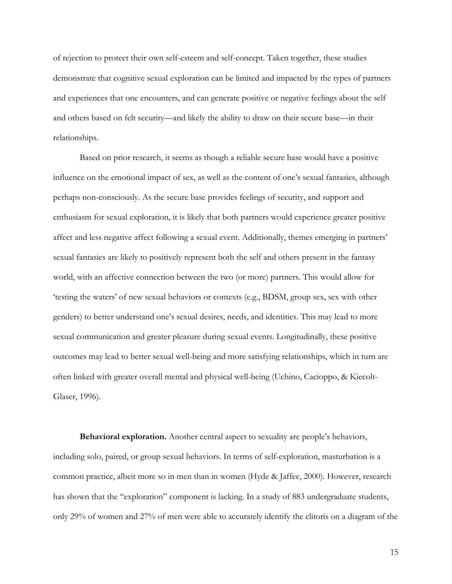of rejection to protect their own self-esteem and self-concept. Taken together, these studies demonstrate that cognitive sexual exploration can be limited and impacted by the types of partners and experiences that one encounters, and can generate positive or negative feelings about the self and others based on felt security—and likely the ability to draw on their secure base—in their relationships.

Based on prior research, it seems as though a reliable secure base would have a positive influence on the emotional impact of sex, as well as the content of one's sexual fantasies, although perhaps non-consciously. As the secure base provides feelings of security, and support and enthusiasm for sexual exploration, it is likely that both partners would experience greater positive affect and less negative affect following a sexual event. Additionally, themes emerging in partners' sexual fantasies are likely to positively represent both the self and others present in the fantasy world, with an affective connection between the two (or more) partners. This would allow for 'testing the waters' of new sexual behaviors or contexts (e.g., BDSM, group sex, sex with other genders) to better understand one's sexual desires, needs, and identities. This may lead to more sexual communication and greater pleasure during sexual events. Longitudinally, these positive outcomes may lead to better sexual well-being and more satisfying relationships, which in turn are often linked with greater overall mental and physical well-being (Uchino, Cacioppo, & Kiecolt-Glaser, 1996).

**Behavioral exploration.** Another central aspect to sexuality are people's behaviors, including solo, paired, or group sexual behaviors. In terms of self-exploration, masturbation is a common practice, albeit more so in men than in women (Hyde & Jaffee, 2000). However, research has shown that the "exploration" component is lacking. In a study of 883 undergraduate students, only 29% of women and 27% of men were able to accurately identify the clitoris on a diagram of the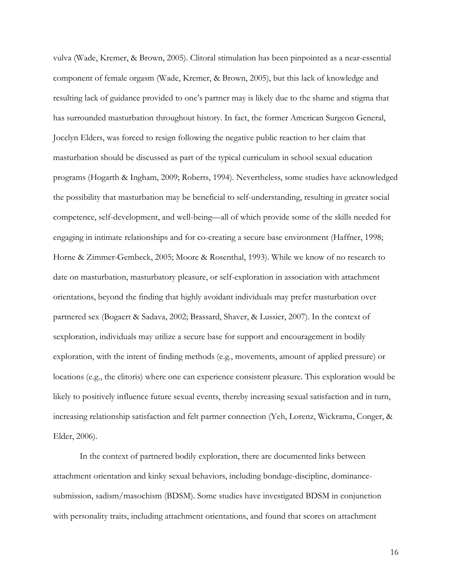vulva (Wade, Kremer, & Brown, 2005). Clitoral stimulation has been pinpointed as a near-essential component of female orgasm (Wade, Kremer, & Brown, 2005), but this lack of knowledge and resulting lack of guidance provided to one's partner may is likely due to the shame and stigma that has surrounded masturbation throughout history. In fact, the former American Surgeon General, Jocelyn Elders, was forced to resign following the negative public reaction to her claim that masturbation should be discussed as part of the typical curriculum in school sexual education programs (Hogarth & Ingham, 2009; Roberts, 1994). Nevertheless, some studies have acknowledged the possibility that masturbation may be beneficial to self-understanding, resulting in greater social competence, self-development, and well-being—all of which provide some of the skills needed for engaging in intimate relationships and for co-creating a secure base environment (Haffner, 1998; Horne & Zimmer-Gembeck, 2005; Moore & Rosenthal, 1993). While we know of no research to date on masturbation, masturbatory pleasure, or self-exploration in association with attachment orientations, beyond the finding that highly avoidant individuals may prefer masturbation over partnered sex (Bogaert & Sadava, 2002; Brassard, Shaver, & Lussier, 2007). In the context of sexploration, individuals may utilize a secure base for support and encouragement in bodily exploration, with the intent of finding methods (e.g., movements, amount of applied pressure) or locations (e.g., the clitoris) where one can experience consistent pleasure. This exploration would be likely to positively influence future sexual events, thereby increasing sexual satisfaction and in turn, increasing relationship satisfaction and felt partner connection (Yeh, Lorenz, Wickrama, Conger, & Elder, 2006).

In the context of partnered bodily exploration, there are documented links between attachment orientation and kinky sexual behaviors, including bondage-discipline, dominancesubmission, sadism/masochism (BDSM). Some studies have investigated BDSM in conjunction with personality traits, including attachment orientations, and found that scores on attachment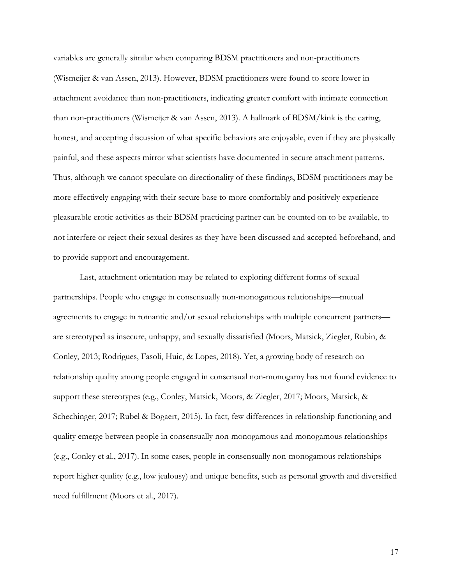variables are generally similar when comparing BDSM practitioners and non-practitioners (Wismeijer & van Assen, 2013). However, BDSM practitioners were found to score lower in attachment avoidance than non-practitioners, indicating greater comfort with intimate connection than non-practitioners (Wismeijer & van Assen, 2013). A hallmark of BDSM/kink is the caring, honest, and accepting discussion of what specific behaviors are enjoyable, even if they are physically painful, and these aspects mirror what scientists have documented in secure attachment patterns. Thus, although we cannot speculate on directionality of these findings, BDSM practitioners may be more effectively engaging with their secure base to more comfortably and positively experience pleasurable erotic activities as their BDSM practicing partner can be counted on to be available, to not interfere or reject their sexual desires as they have been discussed and accepted beforehand, and to provide support and encouragement.

Last, attachment orientation may be related to exploring different forms of sexual partnerships. People who engage in consensually non-monogamous relationships—mutual agreements to engage in romantic and/or sexual relationships with multiple concurrent partners are stereotyped as insecure, unhappy, and sexually dissatisfied (Moors, Matsick, Ziegler, Rubin, & Conley, 2013; Rodrigues, Fasoli, Huic, & Lopes, 2018). Yet, a growing body of research on relationship quality among people engaged in consensual non-monogamy has not found evidence to support these stereotypes (e.g., Conley, Matsick, Moors, & Ziegler, 2017; Moors, Matsick, & Schechinger, 2017; Rubel & Bogaert, 2015). In fact, few differences in relationship functioning and quality emerge between people in consensually non-monogamous and monogamous relationships (e.g., Conley et al., 2017). In some cases, people in consensually non-monogamous relationships report higher quality (e.g., low jealousy) and unique benefits, such as personal growth and diversified need fulfillment (Moors et al., 2017).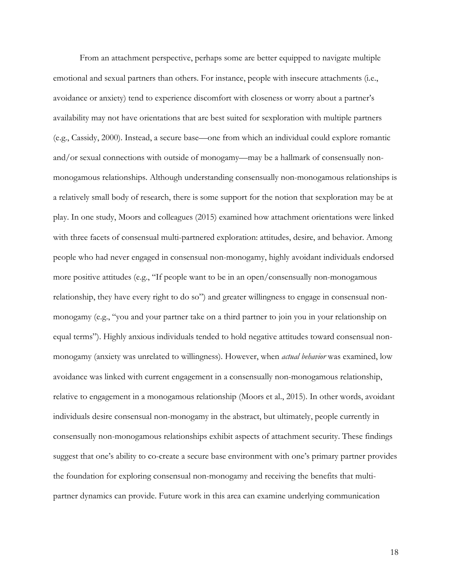From an attachment perspective, perhaps some are better equipped to navigate multiple emotional and sexual partners than others. For instance, people with insecure attachments (i.e., avoidance or anxiety) tend to experience discomfort with closeness or worry about a partner's availability may not have orientations that are best suited for sexploration with multiple partners (e.g., Cassidy, 2000). Instead, a secure base—one from which an individual could explore romantic and/or sexual connections with outside of monogamy—may be a hallmark of consensually nonmonogamous relationships. Although understanding consensually non-monogamous relationships is a relatively small body of research, there is some support for the notion that sexploration may be at play. In one study, Moors and colleagues (2015) examined how attachment orientations were linked with three facets of consensual multi-partnered exploration: attitudes, desire, and behavior. Among people who had never engaged in consensual non-monogamy, highly avoidant individuals endorsed more positive attitudes (e.g., "If people want to be in an open/consensually non-monogamous relationship, they have every right to do so") and greater willingness to engage in consensual nonmonogamy (e.g., "you and your partner take on a third partner to join you in your relationship on equal terms"). Highly anxious individuals tended to hold negative attitudes toward consensual nonmonogamy (anxiety was unrelated to willingness). However, when *actual behavior* was examined, low avoidance was linked with current engagement in a consensually non-monogamous relationship, relative to engagement in a monogamous relationship (Moors et al., 2015). In other words, avoidant individuals desire consensual non-monogamy in the abstract, but ultimately, people currently in consensually non-monogamous relationships exhibit aspects of attachment security. These findings suggest that one's ability to co-create a secure base environment with one's primary partner provides the foundation for exploring consensual non-monogamy and receiving the benefits that multipartner dynamics can provide. Future work in this area can examine underlying communication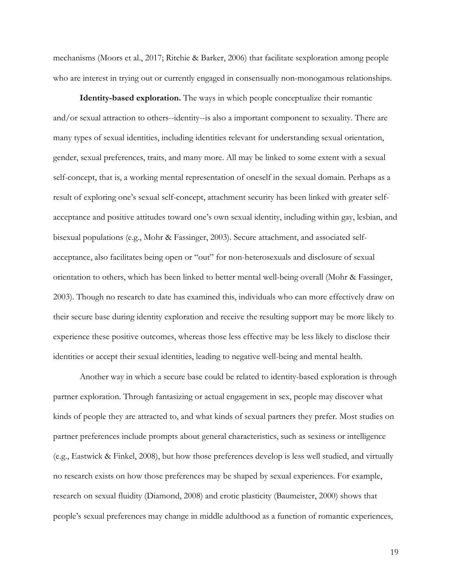mechanisms (Moors et al., 2017; Ritchie & Barker, 2006) that facilitate sexploration among people who are interest in trying out or currently engaged in consensually non-monogamous relationships.

**Identity-based exploration.** The ways in which people conceptualize their romantic and/or sexual attraction to others--identity--is also a important component to sexuality. There are many types of sexual identities, including identities relevant for understanding sexual orientation, gender, sexual preferences, traits, and many more. All may be linked to some extent with a sexual self-concept, that is, a working mental representation of oneself in the sexual domain. Perhaps as a result of exploring one's sexual self-concept, attachment security has been linked with greater selfacceptance and positive attitudes toward one's own sexual identity, including within gay, lesbian, and bisexual populations (e.g., Mohr & Fassinger, 2003). Secure attachment, and associated selfacceptance, also facilitates being open or "out" for non-heterosexuals and disclosure of sexual orientation to others, which has been linked to better mental well-being overall (Mohr & Fassinger, 2003). Though no research to date has examined this, individuals who can more effectively draw on their secure base during identity exploration and receive the resulting support may be more likely to experience these positive outcomes, whereas those less effective may be less likely to disclose their identities or accept their sexual identities, leading to negative well-being and mental health.

Another way in which a secure base could be related to identity-based exploration is through partner exploration. Through fantasizing or actual engagement in sex, people may discover what kinds of people they are attracted to, and what kinds of sexual partners they prefer. Most studies on partner preferences include prompts about general characteristics, such as sexiness or intelligence (e.g., Eastwick & Finkel, 2008), but how those preferences develop is less well studied, and virtually no research exists on how those preferences may be shaped by sexual experiences. For example, research on sexual fluidity (Diamond, 2008) and erotic plasticity (Baumeister, 2000) shows that people's sexual preferences may change in middle adulthood as a function of romantic experiences,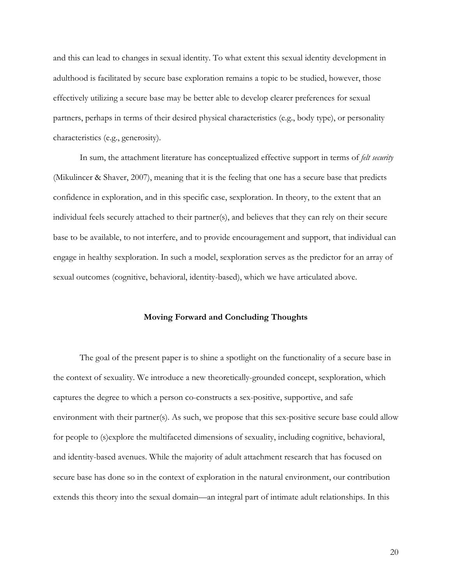and this can lead to changes in sexual identity. To what extent this sexual identity development in adulthood is facilitated by secure base exploration remains a topic to be studied, however, those effectively utilizing a secure base may be better able to develop clearer preferences for sexual partners, perhaps in terms of their desired physical characteristics (e.g., body type), or personality characteristics (e.g., generosity).

In sum, the attachment literature has conceptualized effective support in terms of *felt security*  (Mikulincer & Shaver, 2007), meaning that it is the feeling that one has a secure base that predicts confidence in exploration, and in this specific case, sexploration. In theory, to the extent that an individual feels securely attached to their partner(s), and believes that they can rely on their secure base to be available, to not interfere, and to provide encouragement and support, that individual can engage in healthy sexploration. In such a model, sexploration serves as the predictor for an array of sexual outcomes (cognitive, behavioral, identity-based), which we have articulated above.

#### **Moving Forward and Concluding Thoughts**

The goal of the present paper is to shine a spotlight on the functionality of a secure base in the context of sexuality. We introduce a new theoretically-grounded concept, sexploration, which captures the degree to which a person co-constructs a sex-positive, supportive, and safe environment with their partner(s). As such, we propose that this sex-positive secure base could allow for people to (s)explore the multifaceted dimensions of sexuality, including cognitive, behavioral, and identity-based avenues. While the majority of adult attachment research that has focused on secure base has done so in the context of exploration in the natural environment, our contribution extends this theory into the sexual domain—an integral part of intimate adult relationships. In this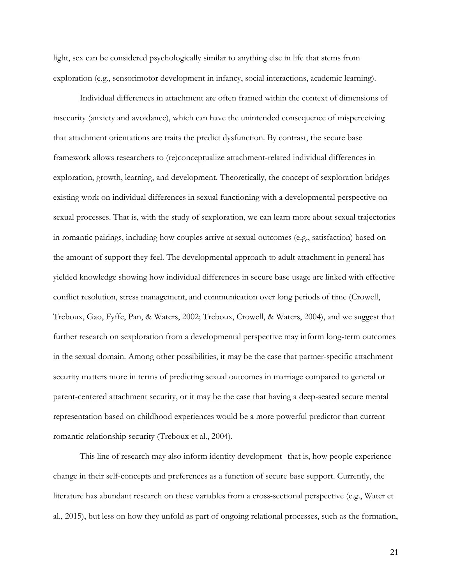light, sex can be considered psychologically similar to anything else in life that stems from exploration (e.g., sensorimotor development in infancy, social interactions, academic learning).

Individual differences in attachment are often framed within the context of dimensions of insecurity (anxiety and avoidance), which can have the unintended consequence of misperceiving that attachment orientations are traits the predict dysfunction. By contrast, the secure base framework allows researchers to (re)conceptualize attachment-related individual differences in exploration, growth, learning, and development. Theoretically, the concept of sexploration bridges existing work on individual differences in sexual functioning with a developmental perspective on sexual processes. That is, with the study of sexploration, we can learn more about sexual trajectories in romantic pairings, including how couples arrive at sexual outcomes (e.g., satisfaction) based on the amount of support they feel. The developmental approach to adult attachment in general has yielded knowledge showing how individual differences in secure base usage are linked with effective conflict resolution, stress management, and communication over long periods of time (Crowell, Treboux, Gao, Fyffe, Pan, & Waters, 2002; Treboux, Crowell, & Waters, 2004), and we suggest that further research on sexploration from a developmental perspective may inform long-term outcomes in the sexual domain. Among other possibilities, it may be the case that partner-specific attachment security matters more in terms of predicting sexual outcomes in marriage compared to general or parent-centered attachment security, or it may be the case that having a deep-seated secure mental representation based on childhood experiences would be a more powerful predictor than current romantic relationship security (Treboux et al., 2004).

This line of research may also inform identity development--that is, how people experience change in their self-concepts and preferences as a function of secure base support. Currently, the literature has abundant research on these variables from a cross-sectional perspective (e.g., Water et al., 2015), but less on how they unfold as part of ongoing relational processes, such as the formation,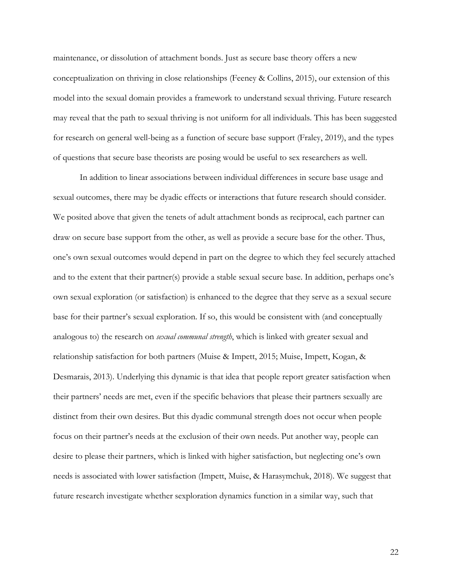maintenance, or dissolution of attachment bonds. Just as secure base theory offers a new conceptualization on thriving in close relationships (Feeney & Collins, 2015), our extension of this model into the sexual domain provides a framework to understand sexual thriving. Future research may reveal that the path to sexual thriving is not uniform for all individuals. This has been suggested for research on general well-being as a function of secure base support (Fraley, 2019), and the types of questions that secure base theorists are posing would be useful to sex researchers as well.

In addition to linear associations between individual differences in secure base usage and sexual outcomes, there may be dyadic effects or interactions that future research should consider. We posited above that given the tenets of adult attachment bonds as reciprocal, each partner can draw on secure base support from the other, as well as provide a secure base for the other. Thus, one's own sexual outcomes would depend in part on the degree to which they feel securely attached and to the extent that their partner(s) provide a stable sexual secure base. In addition, perhaps one's own sexual exploration (or satisfaction) is enhanced to the degree that they serve as a sexual secure base for their partner's sexual exploration. If so, this would be consistent with (and conceptually analogous to) the research on *sexual communal strength*, which is linked with greater sexual and relationship satisfaction for both partners (Muise & Impett, 2015; Muise, Impett, Kogan, & Desmarais, 2013). Underlying this dynamic is that idea that people report greater satisfaction when their partners' needs are met, even if the specific behaviors that please their partners sexually are distinct from their own desires. But this dyadic communal strength does not occur when people focus on their partner's needs at the exclusion of their own needs. Put another way, people can desire to please their partners, which is linked with higher satisfaction, but neglecting one's own needs is associated with lower satisfaction (Impett, Muise, & Harasymchuk, 2018). We suggest that future research investigate whether sexploration dynamics function in a similar way, such that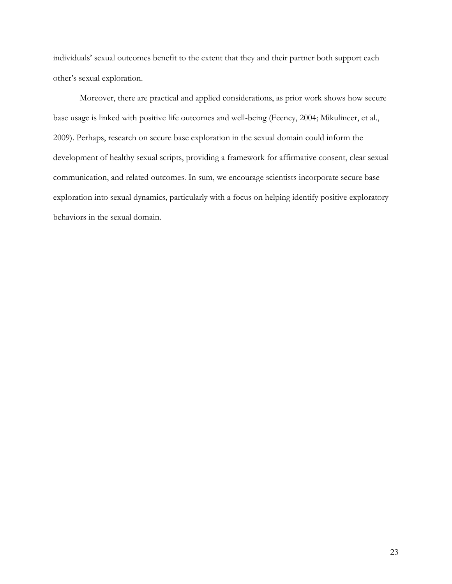individuals' sexual outcomes benefit to the extent that they and their partner both support each other's sexual exploration.

Moreover, there are practical and applied considerations, as prior work shows how secure base usage is linked with positive life outcomes and well-being (Feeney, 2004; Mikulincer, et al., 2009). Perhaps, research on secure base exploration in the sexual domain could inform the development of healthy sexual scripts, providing a framework for affirmative consent, clear sexual communication, and related outcomes. In sum, we encourage scientists incorporate secure base exploration into sexual dynamics, particularly with a focus on helping identify positive exploratory behaviors in the sexual domain.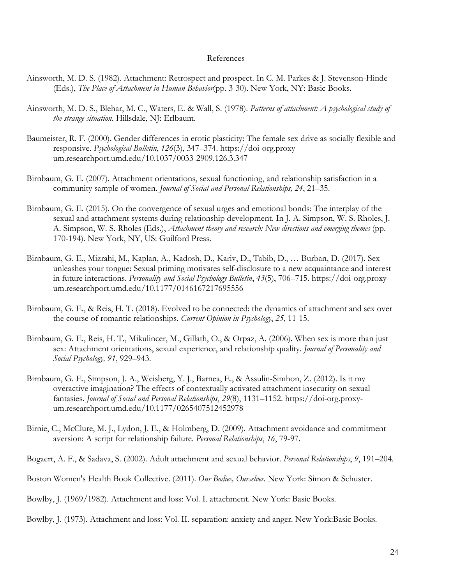#### References

- Ainsworth, M. D. S. (1982). Attachment: Retrospect and prospect. In C. M. Parkes & J. Stevenson-Hinde (Eds.), *The Place of Attachment in Human Behavior*(pp. 3-30). New York, NY: Basic Books.
- Ainsworth, M. D. S., Blehar, M. C., Waters, E. & Wall, S. (1978). *Patterns of attachment: A psychological study of the strange situation*. Hillsdale, NJ: Erlbaum.
- Baumeister, R. F. (2000). Gender differences in erotic plasticity: The female sex drive as socially flexible and responsive. *Psychological Bulletin*, *126*(3), 347–374. https://doi-org.proxyum.researchport.umd.edu/10.1037/0033-2909.126.3.347
- Birnbaum, G. E. (2007). Attachment orientations, sexual functioning, and relationship satisfaction in a community sample of women. *Journal of Social and Personal Relationships, 24*, 21–35.
- Birnbaum, G. E. (2015). On the convergence of sexual urges and emotional bonds: The interplay of the sexual and attachment systems during relationship development. In J. A. Simpson, W. S. Rholes, J. A. Simpson, W. S. Rholes (Eds.), *Attachment theory and research: New directions and emerging themes* (pp. 170-194). New York, NY, US: Guilford Press.
- Birnbaum, G. E., Mizrahi, M., Kaplan, A., Kadosh, D., Kariv, D., Tabib, D., … Burban, D. (2017). Sex unleashes your tongue: Sexual priming motivates self-disclosure to a new acquaintance and interest in future interactions. *Personality and Social Psychology Bulletin*, *43*(5), 706–715. https://doi-org.proxyum.researchport.umd.edu/10.1177/0146167217695556
- Birnbaum, G. E., & Reis, H. T. (2018). Evolved to be connected: the dynamics of attachment and sex over the course of romantic relationships. *Current Opinion in Psychology*, *25*, 11-15.
- Birnbaum, G. E., Reis, H. T., Mikulincer, M., Gillath, O., & Orpaz, A. (2006). When sex is more than just sex: Attachment orientations, sexual experience, and relationship quality. *Journal of Personality and Social Psychology, 91*, 929–943.
- Birnbaum, G. E., Simpson, J. A., Weisberg, Y. J., Barnea, E., & Assulin-Simhon, Z. (2012). Is it my overactive imagination? The effects of contextually activated attachment insecurity on sexual fantasies. *Journal of Social and Personal Relationships*, *29*(8), 1131–1152. https://doi-org.proxyum.researchport.umd.edu/10.1177/0265407512452978
- Birnie, C., McClure, M. J., Lydon, J. E., & Holmberg, D. (2009). Attachment avoidance and commitment aversion: A script for relationship failure. *Personal Relationships*, *16*, 79-97.
- Bogaert, A. F., & Sadava, S. (2002). Adult attachment and sexual behavior. *Personal Relationships*, *9*, 191–204.
- Boston Women's Health Book Collective. (2011). *Our Bodies, Ourselves.* New York: Simon & Schuster.
- Bowlby, J. (1969/1982). Attachment and loss: Vol. I. attachment. New York: Basic Books.
- Bowlby, J. (1973). Attachment and loss: Vol. II. separation: anxiety and anger. New York:Basic Books.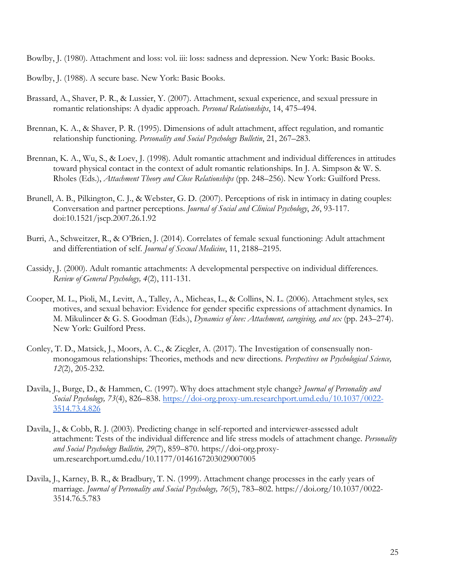Bowlby, J. (1980). Attachment and loss: vol. iii: loss: sadness and depression. New York: Basic Books.

- Bowlby, J. (1988). A secure base. New York: Basic Books.
- Brassard, A., Shaver, P. R., & Lussier, Y. (2007). Attachment, sexual experience, and sexual pressure in romantic relationships: A dyadic approach. *Personal Relationships*, 14, 475–494.
- Brennan, K. A., & Shaver, P. R. (1995). Dimensions of adult attachment, affect regulation, and romantic relationship functioning. *Personality and Social Psychology Bulletin*, 21, 267–283.
- Brennan, K. A., Wu, S., & Loev, J. (1998). Adult romantic attachment and individual differences in attitudes toward physical contact in the context of adult romantic relationships. In J. A. Simpson & W. S. Rholes (Eds.), *Attachment Theory and Close Relationships* (pp. 248–256). New York: Guilford Press.
- Brunell, A. B., Pilkington, C. J., & Webster, G. D. (2007). Perceptions of risk in intimacy in dating couples: Conversation and partner perceptions. *Journal of Social and Clinical Psychology*, *26*, 93-117. doi:10.1521/jscp.2007.26.1.92
- Burri, A., Schweitzer, R., & O'Brien, J. (2014). Correlates of female sexual functioning: Adult attachment and differentiation of self. *Journal of Sexual Medicine*, 11, 2188–2195.
- Cassidy, J. (2000). Adult romantic attachments: A developmental perspective on individual differences. *Review of General Psychology, 4*(2), 111-131.
- Cooper, M. L., Pioli, M., Levitt, A., Talley, A., Micheas, L., & Collins, N. L. (2006). Attachment styles, sex motives, and sexual behavior: Evidence for gender specific expressions of attachment dynamics. In M. Mikulincer & G. S. Goodman (Eds.), *Dynamics of love: Attachment, caregiving, and sex* (pp. 243–274). New York: Guilford Press.
- Conley, T. D., Matsick, J., Moors, A. C., & Ziegler, A. (2017). The Investigation of consensually nonmonogamous relationships: Theories, methods and new directions. *Perspectives on Psychological Science, 12*(2), 205-232.
- Davila, J., Burge, D., & Hammen, C. (1997). Why does attachment style change? *Journal of Personality and Social Psychology, 73*(4), 826–838. [https://doi-org.proxy-um.researchport.umd.edu/10.1037/0022-](https://doi-org.proxy-um.researchport.umd.edu/10.1037/0022-3514.73.4.826) [3514.73.4.826](https://doi-org.proxy-um.researchport.umd.edu/10.1037/0022-3514.73.4.826)
- Davila, J., & Cobb, R. J. (2003). Predicting change in self-reported and interviewer-assessed adult attachment: Tests of the individual difference and life stress models of attachment change. *Personality and Social Psychology Bulletin, 29*(7), 859–870. https://doi-org.proxyum.researchport.umd.edu/10.1177/0146167203029007005
- Davila, J., Karney, B. R., & Bradbury, T. N. (1999). Attachment change processes in the early years of marriage. *Journal of Personality and Social Psychology, 76*(5), 783–802. https://doi.org/10.1037/0022- 3514.76.5.783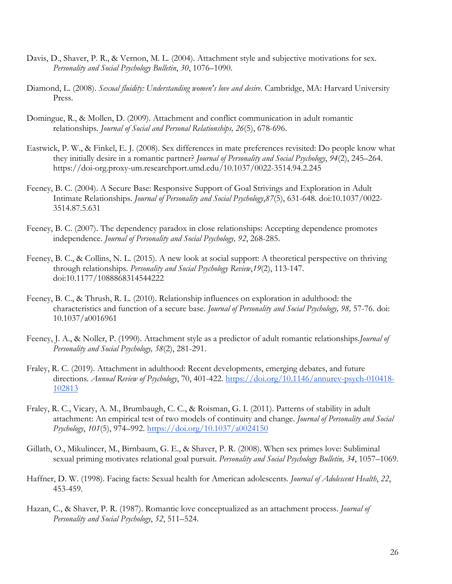- Davis, D., Shaver, P. R., & Vernon, M. L. (2004). Attachment style and subjective motivations for sex. *Personality and Social Psychology Bulletin*, *30*, 1076–1090.
- Diamond, L. (2008). *Sexual fluidity: Understanding women's love and desire*. Cambridge, MA: Harvard University Press.
- Domingue, R., & Mollen, D. (2009). Attachment and conflict communication in adult romantic relationships. *Journal of Social and Personal Relationships, 26*(5), 678-696.
- Eastwick, P. W., & Finkel, E. J. (2008). Sex differences in mate preferences revisited: Do people know what they initially desire in a romantic partner? *Journal of Personality and Social Psychology*, *94*(2), 245–264. https://doi-org.proxy-um.researchport.umd.edu/10.1037/0022-3514.94.2.245
- Feeney, B. C. (2004). A Secure Base: Responsive Support of Goal Strivings and Exploration in Adult Intimate Relationships. *Journal of Personality and Social Psychology*,*87*(5), 631-648. doi:10.1037/0022- 3514.87.5.631
- Feeney, B. C. (2007). The dependency paradox in close relationships: Accepting dependence promotes independence. *Journal of Personality and Social Psychology, 92*, 268-285.
- Feeney, B. C., & Collins, N. L. (2015). A new look at social support: A theoretical perspective on thriving through relationships. *Personality and Social Psychology Review*,*19*(2), 113-147. doi:10.1177/1088868314544222
- Feeney, B. C., & Thrush, R. L. (2010). Relationship influences on exploration in adulthood: the characteristics and function of a secure base. *Journal of Personality and Social Psychology, 98,* 57-76. doi: 10.1037/a0016961
- Feeney, J. A., & Noller, P. (1990). Attachment style as a predictor of adult romantic relationships.*Journal of Personality and Social Psychology, 58*(2), 281-291.
- Fraley, R. C. (2019). Attachment in adulthood: Recent developments, emerging debates, and future directions. *Annual Review of Psychology*, 70, 401-422. [https://doi.org/10.1146/annurev-psych-010418-](https://doi.org/10.1146/annurev-psych-010418-102813) [102813](https://doi.org/10.1146/annurev-psych-010418-102813)
- Fraley, R. C., Vicary, A. M., Brumbaugh, C. C., & Roisman, G. I. (2011). Patterns of stability in adult attachment: An empirical test of two models of continuity and change. *Journal of Personality and Social Psychology*, *101*(5), 974–992.<https://doi.org/10.1037/a0024150>
- Gillath, O., Mikulincer, M., Birnbaum, G. E., & Shaver, P. R. (2008). When sex primes love: Subliminal sexual priming motivates relational goal pursuit. *Personality and Social Psychology Bulletin, 34*, 1057–1069.
- Haffner, D. W. (1998). Facing facts: Sexual health for American adolescents. *Journal of Adolescent Health*, *22*, 453-459.
- Hazan, C., & Shaver, P. R. (1987). Romantic love conceptualized as an attachment process. *Journal of Personality and Social Psychology*, *52*, 511–524.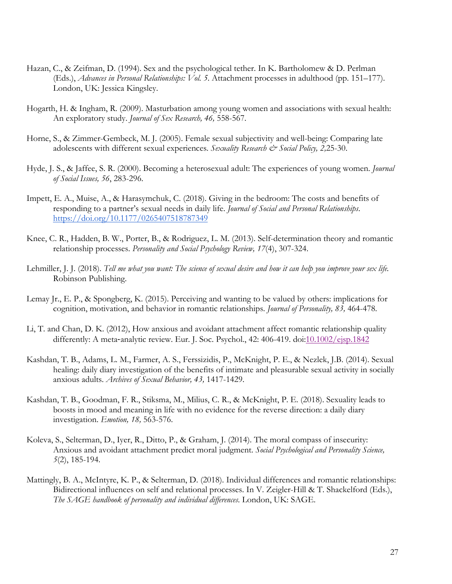- Hazan, C., & Zeifman, D. (1994). Sex and the psychological tether. In K. Bartholomew & D. Perlman (Eds.), *Advances in Personal Relationships: Vol. 5*. Attachment processes in adulthood (pp. 151–177). London, UK: Jessica Kingsley.
- Hogarth, H. & Ingham, R. (2009). Masturbation among young women and associations with sexual health: An exploratory study. *Journal of Sex Research, 46,* 558-567.
- Horne, S., & Zimmer-Gembeck, M. J. (2005). Female sexual subjectivity and well-being: Comparing late adolescents with different sexual experiences. *Sexuality Research & Social Policy, 2,*25-30.
- Hyde, J. S., & Jaffee, S. R. (2000). Becoming a heterosexual adult: The experiences of young women. *Journal of Social Issues, 56*, 283-296.
- Impett, E. A., Muise, A., & Harasymchuk, C. (2018). Giving in the bedroom: The costs and benefits of responding to a partner's sexual needs in daily life. *Journal of Social and Personal Relationships*. <https://doi.org/10.1177/0265407518787349>
- Knee, C. R., Hadden, B. W., Porter, B., & Rodriguez, L. M. (2013). Self-determination theory and romantic relationship processes. *Personality and Social Psychology Review, 17*(4), 307-324.
- Lehmiller, J. J. (2018). *Tell me what you want: The science of sexual desire and how it can help you improve your sex life.*  Robinson Publishing.
- Lemay Jr., E. P., & Spongberg, K. (2015). Perceiving and wanting to be valued by others: implications for cognition, motivation, and behavior in romantic relationships. *Journal of Personality, 83,* 464-478.
- Li, T. and Chan, D. K. (2012), How anxious and avoidant attachment affect romantic relationship quality differently: A meta-analytic review. Eur. J. Soc. Psychol., 42: 406-419. doi[:10.1002/ejsp.1842](https://doi.org/10.1002/ejsp.1842)
- Kashdan, T. B., Adams, L. M., Farmer, A. S., Ferssizidis, P., McKnight, P. E., & Nezlek, J.B. (2014). Sexual healing: daily diary investigation of the benefits of intimate and pleasurable sexual activity in socially anxious adults. *Archives of Sexual Behavior, 43,* 1417-1429.
- Kashdan, T. B., Goodman, F. R., Stiksma, M., Milius, C. R., & McKnight, P. E. (2018). Sexuality leads to boosts in mood and meaning in life with no evidence for the reverse direction: a daily diary investigation. *Emotion, 18,* 563-576.
- Koleva, S., Selterman, D., Iyer, R., Ditto, P., & Graham, J. (2014). The moral compass of insecurity: Anxious and avoidant attachment predict moral judgment. *Social Psychological and Personality Science, 5*(2), 185-194.
- Mattingly, B. A., McIntyre, K. P., & Selterman, D. (2018). Individual differences and romantic relationships: Bidirectional influences on self and relational processes. In V. Zeigler-Hill & T. Shackelford (Eds.), *The SAGE handbook of personality and individual differences*. London, UK: SAGE.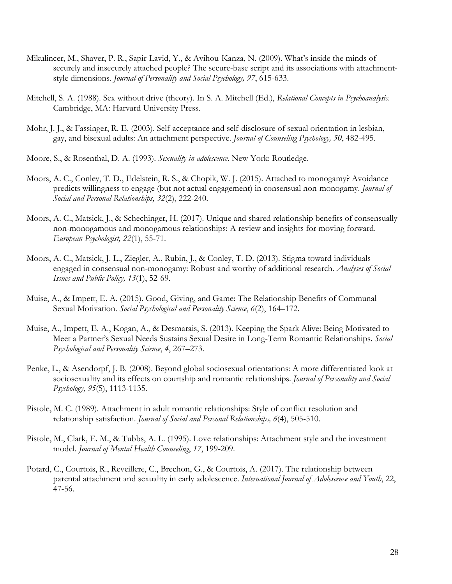- Mikulincer, M., Shaver, P. R., Sapir-Lavid, Y., & Avihou-Kanza, N. (2009). What's inside the minds of securely and insecurely attached people? The secure-base script and its associations with attachmentstyle dimensions. *Journal of Personality and Social Psychology, 97*, 615-633.
- Mitchell, S. A. (1988). Sex without drive (theory). In S. A. Mitchell (Ed.), *Relational Concepts in Psychoanalysis*. Cambridge, MA: Harvard University Press.
- Mohr, J. J., & Fassinger, R. E. (2003). Self-acceptance and self-disclosure of sexual orientation in lesbian, gay, and bisexual adults: An attachment perspective. *Journal of Counseling Psychology, 50*, 482-495.
- Moore, S., & Rosenthal, D. A. (1993). *Sexuality in adolescence*. New York: Routledge.
- Moors, A. C., Conley, T. D., Edelstein, R. S., & Chopik, W. J. (2015). Attached to monogamy? Avoidance predicts willingness to engage (but not actual engagement) in consensual non-monogamy. *Journal of Social and Personal Relationships, 32*(2), 222-240.
- Moors, A. C., Matsick, J., & Schechinger, H. (2017). Unique and shared relationship benefits of consensually non-monogamous and monogamous relationships: A review and insights for moving forward. *European Psychologist, 22*(1), 55-71.
- Moors, A. C., Matsick, J. L., Ziegler, A., Rubin, J., & Conley, T. D. (2013). Stigma toward individuals engaged in consensual non-monogamy: Robust and worthy of additional research. *Analyses of Social Issues and Public Policy, 13*(1), 52-69.
- Muise, A., & Impett, E. A. (2015). Good, Giving, and Game: The Relationship Benefits of Communal Sexual Motivation. *Social Psychological and Personality Science*, *6*(2), 164–172.
- Muise, A., Impett, E. A., Kogan, A., & Desmarais, S. (2013). Keeping the Spark Alive: Being Motivated to Meet a Partner's Sexual Needs Sustains Sexual Desire in Long-Term Romantic Relationships. *Social Psychological and Personality Science*, *4*, 267–273.
- Penke, L., & Asendorpf, J. B. (2008). Beyond global sociosexual orientations: A more differentiated look at sociosexuality and its effects on courtship and romantic relationships. *Journal of Personality and Social Psychology, 95*(5), 1113-1135.
- Pistole, M. C. (1989). Attachment in adult romantic relationships: Style of conflict resolution and relationship satisfaction. *Journal of Social and Personal Relationships, 6*(4), 505-510.
- Pistole, M., Clark, E. M., & Tubbs, A. L. (1995). Love relationships: Attachment style and the investment model. *Journal of Mental Health Counseling*, *17*, 199-209.
- Potard, C., Courtois, R., Reveillere, C., Brechon, G., & Courtois, A. (2017). The relationship between parental attachment and sexuality in early adolescence. *International Journal of Adolescence and Youth*, 22, 47-56.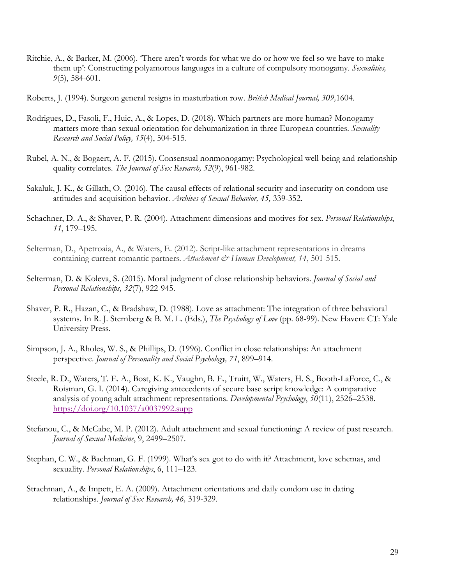- Ritchie, A., & Barker, M. (2006). 'There aren't words for what we do or how we feel so we have to make them up': Constructing polyamorous languages in a culture of compulsory monogamy. *Sexualities, 9*(5), 584-601.
- Roberts, J. (1994). Surgeon general resigns in masturbation row. *British Medical Journal, 309,*1604.
- Rodrigues, D., Fasoli, F., Huic, A., & Lopes, D. (2018). Which partners are more human? Monogamy matters more than sexual orientation for dehumanization in three European countries. *Sexuality Research and Social Policy, 15*(4), 504-515.
- Rubel, A. N., & Bogaert, A. F. (2015). Consensual nonmonogamy: Psychological well-being and relationship quality correlates. *The Journal of Sex Research, 52*(9), 961-982.
- Sakaluk, J. K., & Gillath, O. (2016). The causal effects of relational security and insecurity on condom use attitudes and acquisition behavior. *Archives of Sexual Behavior, 45,* 339-352.
- Schachner, D. A., & Shaver, P. R. (2004). Attachment dimensions and motives for sex. *Personal Relationships*, *11*, 179–195.
- Selterman, D., Apetroaia, A., & Waters, E. (2012). Script-like attachment representations in dreams containing current romantic partners. *Attachment & Human Development, 14*, 501-515.
- Selterman, D. & Koleva, S. (2015). Moral judgment of close relationship behaviors. *Journal of Social and Personal Relationships, 32*(7), 922-945.
- Shaver, P. R., Hazan, C., & Bradshaw, D. (1988). Love as attachment: The integration of three behavioral systems. In R. J. Sternberg & B. M. L. (Eds.), *The Psychology of Love* (pp. 68-99). New Haven: CT: Yale University Press.
- Simpson, J. A., Rholes, W. S., & Phillips, D. (1996). Conflict in close relationships: An attachment perspective. *Journal of Personality and Social Psychology, 71*, 899–914.
- Steele, R. D., Waters, T. E. A., Bost, K. K., Vaughn, B. E., Truitt, W., Waters, H. S., Booth-LaForce, C., & Roisman, G. I. (2014). Caregiving antecedents of secure base script knowledge: A comparative analysis of young adult attachment representations. *Developmental Psychology*, *50*(11), 2526–2538. <https://doi.org/10.1037/a0037992.supp>
- Stefanou, C., & McCabe, M. P. (2012). Adult attachment and sexual functioning: A review of past research. *Journal of Sexual Medicine*, 9, 2499–2507.
- Stephan, C. W., & Bachman, G. F. (1999). What's sex got to do with it? Attachment, love schemas, and sexuality. *Personal Relationships*, 6, 111–123.
- Strachman, A., & Impett, E. A. (2009). Attachment orientations and daily condom use in dating relationships. *Journal of Sex Research, 46,* 319-329.